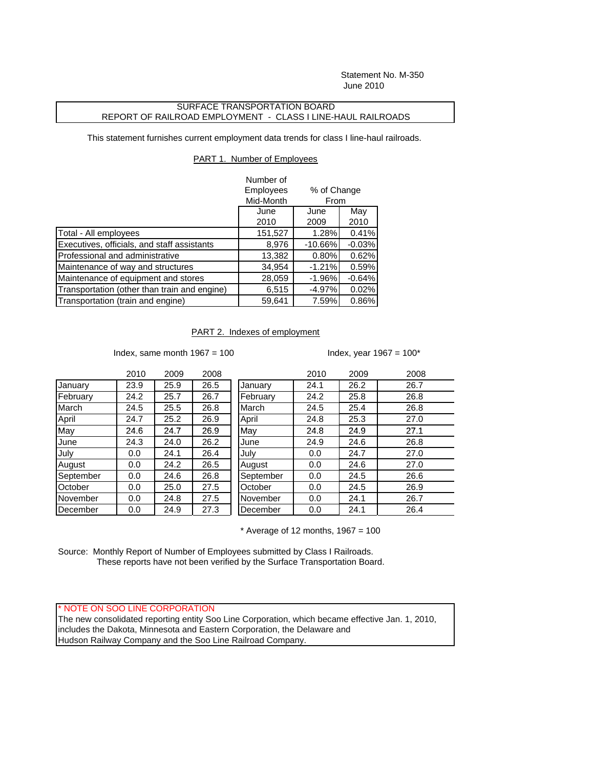Statement No. M-350 June 2010

## SURFACE TRANSPORTATION BOARD REPORT OF RAILROAD EMPLOYMENT - CLASS I LINE-HAUL RAILROADS

This statement furnishes current employment data trends for class I line-haul railroads.

## PART 1. Number of Employees

|                                              | Number of |             |          |  |
|----------------------------------------------|-----------|-------------|----------|--|
|                                              | Employees | % of Change |          |  |
|                                              | Mid-Month | From        |          |  |
|                                              | June      | June        | May      |  |
|                                              | 2010      | 2009        | 2010     |  |
| Total - All employees                        | 151,527   | 1.28%       | 0.41%    |  |
| Executives, officials, and staff assistants  | 8,976     | $-10.66%$   | $-0.03%$ |  |
| Professional and administrative              | 13,382    | 0.80%       | 0.62%    |  |
| Maintenance of way and structures            | 34,954    | $-1.21%$    | 0.59%    |  |
| Maintenance of equipment and stores          | 28,059    | $-1.96%$    | $-0.64%$ |  |
| Transportation (other than train and engine) | 6,515     | $-4.97%$    | 0.02%    |  |
| Transportation (train and engine)            | 59,641    | 7.59%       | 0.86%    |  |

## PART 2. Indexes of employment

Index, same month  $1967 = 100$  Index, year  $1967 = 100^*$ 

|           | 2010 | 2009 | 2008 |           | 2010 | 2009 | 2008 |
|-----------|------|------|------|-----------|------|------|------|
| January   | 23.9 | 25.9 | 26.5 | January   | 24.1 | 26.2 | 26.7 |
| February  | 24.2 | 25.7 | 26.7 | February  | 24.2 | 25.8 | 26.8 |
| March     | 24.5 | 25.5 | 26.8 | March     | 24.5 | 25.4 | 26.8 |
| April     | 24.7 | 25.2 | 26.9 | April     | 24.8 | 25.3 | 27.0 |
| May       | 24.6 | 24.7 | 26.9 | May       | 24.8 | 24.9 | 27.1 |
| June      | 24.3 | 24.0 | 26.2 | June      | 24.9 | 24.6 | 26.8 |
| July      | 0.0  | 24.1 | 26.4 | July      | 0.0  | 24.7 | 27.0 |
| August    | 0.0  | 24.2 | 26.5 | August    | 0.0  | 24.6 | 27.0 |
| September | 0.0  | 24.6 | 26.8 | September | 0.0  | 24.5 | 26.6 |
| October   | 0.0  | 25.0 | 27.5 | October   | 0.0  | 24.5 | 26.9 |
| November  | 0.0  | 24.8 | 27.5 | November  | 0.0  | 24.1 | 26.7 |
| December  | 0.0  | 24.9 | 27.3 | December  | 0.0  | 24.1 | 26.4 |

 $*$  Average of 12 months, 1967 = 100

Source: Monthly Report of Number of Employees submitted by Class I Railroads. These reports have not been verified by the Surface Transportation Board.

\* NOTE ON SOO LINE CORPORATION

The new consolidated reporting entity Soo Line Corporation, which became effective Jan. 1, 2010, includes the Dakota, Minnesota and Eastern Corporation, the Delaware and Hudson Railway Company and the Soo Line Railroad Company.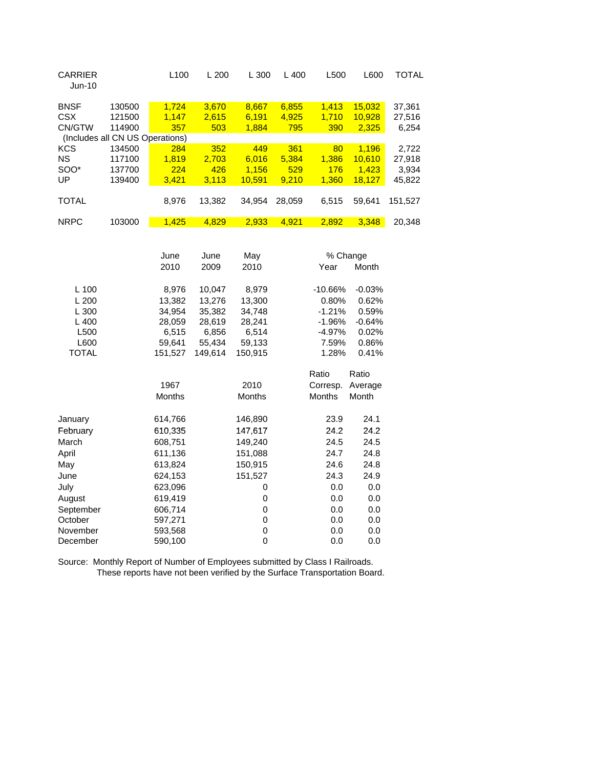| <b>CARRIER</b><br><b>Jun-10</b> |                                 | L <sub>100</sub> | L200   | L 300  | $L$ 400 | L500     | L600   | TOTAL   |
|---------------------------------|---------------------------------|------------------|--------|--------|---------|----------|--------|---------|
| <b>BNSF</b>                     | 130500                          | 1,724            | 3,670  | 8,667  | 6,855   | 1,413    | 15,032 | 37,361  |
| <b>CSX</b>                      | 121500                          | 1,147            | 2,615  | 6.191  | 4,925   | 1,710    | 10,928 | 27,516  |
| CN/GTW                          | 114900                          | 357              | 503    | 1,884  | 795     | 390      | 2,325  | 6,254   |
|                                 | (Includes all CN US Operations) |                  |        |        |         |          |        |         |
| <b>KCS</b>                      | 134500                          | 284              | 352    | 449    | 361     | 80       | 1.196  | 2,722   |
| <b>NS</b>                       | 117100                          | 1.819            | 2.703  | 6.016  | 5,384   | 1.386    | 10.610 | 27,918  |
| SOO*                            | 137700                          | 224              | 426    | 1.156  | 529     | 176      | 1.423  | 3,934   |
| UP                              | 139400                          | 3,421            | 3,113  | 10,591 | 9,210   | 1,360    | 18,127 | 45,822  |
|                                 |                                 |                  |        |        |         |          |        |         |
| <b>TOTAL</b>                    |                                 | 8,976            | 13,382 | 34,954 | 28,059  | 6,515    | 59,641 | 151,527 |
|                                 |                                 |                  |        |        |         |          |        |         |
| <b>NRPC</b>                     | 103000                          | 1,425            | 4,829  | 2,933  | 4,921   | 2,892    | 3,348  | 20,348  |
|                                 |                                 |                  |        |        |         |          |        |         |
|                                 |                                 |                  |        |        |         |          |        |         |
|                                 |                                 | June             | June   | May    |         | % Change |        |         |

|           | 2010          | 2009    | 2010    | Year          | Month    |
|-----------|---------------|---------|---------|---------------|----------|
|           |               |         |         |               |          |
| $L$ 100   | 8,976         | 10,047  | 8,979   | $-10.66%$     | $-0.03%$ |
| L 200     | 13,382        | 13,276  | 13,300  | 0.80%         | 0.62%    |
| L300      | 34,954        | 35,382  | 34,748  | $-1.21%$      | 0.59%    |
| L400      | 28,059        | 28,619  | 28,241  | $-1.96%$      | $-0.64%$ |
| L500      | 6,515         | 6,856   | 6,514   | $-4.97%$      | $0.02\%$ |
| L600      | 59,641        | 55,434  | 59,133  | 7.59%         | 0.86%    |
| TOTAL     | 151,527       | 149,614 | 150,915 | 1.28%         | 0.41%    |
|           |               |         |         | Ratio         | Ratio    |
|           | 1967          |         | 2010    | Corresp.      | Average  |
|           | <b>Months</b> |         | Months  | <b>Months</b> | Month    |
|           |               |         |         |               |          |
| January   | 614,766       |         | 146,890 | 23.9          | 24.1     |
| February  | 610,335       |         | 147,617 | 24.2          | 24.2     |
| March     | 608,751       |         | 149,240 | 24.5          | 24.5     |
| April     | 611,136       |         | 151,088 | 24.7          | 24.8     |
| May       | 613,824       |         | 150,915 | 24.6          | 24.8     |
| June      | 624,153       |         | 151,527 | 24.3          | 24.9     |
| July      | 623,096       |         | 0       | 0.0           | 0.0      |
| August    | 619,419       |         | 0       | 0.0           | 0.0      |
| September | 606,714       |         | 0       | 0.0           | 0.0      |
| October   | 597,271       |         | 0       | 0.0           | 0.0      |
| November  | 593,568       |         | 0       | 0.0           | 0.0      |
| December  | 590,100       |         | 0       | 0.0           | 0.0      |
|           |               |         |         |               |          |

Source: Monthly Report of Number of Employees submitted by Class I Railroads. These reports have not been verified by the Surface Transportation Board.